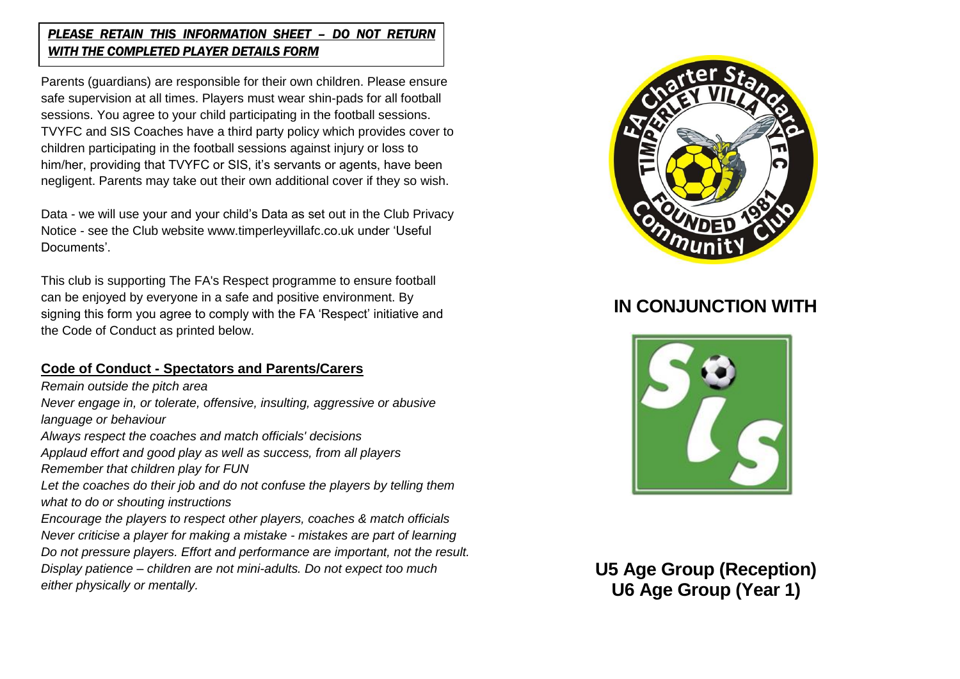#### *PLEASE RETAIN THIS INFORMATION SHEET – DO NOT RETURN WITH THE COMPLETED PLAYER DETAILS FORM*

Parents (guardians) are responsible for their own children. Please ensure safe supervision at all times. Players must wear shin-pads for all football sessions. You agree to your child participating in the football sessions. TVYFC and SIS Coaches have a third party policy which provides cover to children participating in the football sessions against injury or loss to him/her, providing that TVYFC or SIS, it's servants or agents, have been negligent. Parents may take out their own additional cover if they so wish.

Data - we will use your and your child's Data as set out in the Club Privacy Notice - see the Club website www.timperleyvillafc.co.uk under 'Useful Documents'.

This club is supporting The FA's Respect programme to ensure football can be enjoyed by everyone in a safe and positive environment. By signing this form you agree to comply with the FA 'Respect' initiative and the Code of Conduct as printed below.

### **Code of Conduct - Spectators and Parents/Carers**

*Remain outside the pitch area Never engage in, or tolerate, offensive, insulting, aggressive or abusive language or behaviour Always respect the coaches and match officials' decisions Applaud effort and good play as well as success, from all players Remember that children play for FUN Let the coaches do their job and do not confuse the players by telling them what to do or shouting instructions Encourage the players to respect other players, coaches & match officials Never criticise a player for making a mistake - mistakes are part of learning Do not pressure players. Effort and performance are important, not the result. Display patience – children are not mini-adults. Do not expect too much either physically or mentally.*



# **IN CONJUNCTION WITH**



 **U5 Age Group (Reception) U6 Age Group (Year 1)**